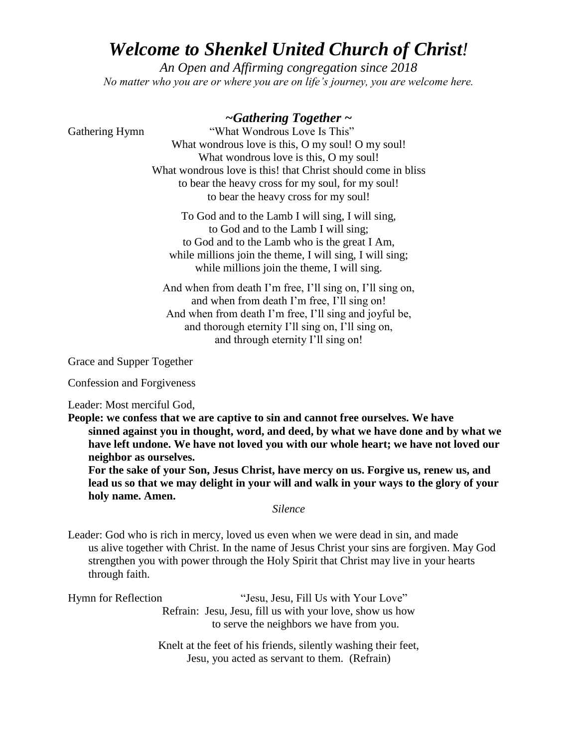## *Welcome to Shenkel United Church of Christ!*

*An Open and Affirming congregation since 2018 No matter who you are or where you are on life's journey, you are welcome here.*

## *~Gathering Together ~*

Gathering Hymn *"What Wondrous Love Is This"* What wondrous love is this, O my soul! O my soul! What wondrous love is this, O my soul! What wondrous love is this! that Christ should come in bliss to bear the heavy cross for my soul, for my soul! to bear the heavy cross for my soul!

> To God and to the Lamb I will sing, I will sing, to God and to the Lamb I will sing; to God and to the Lamb who is the great I Am, while millions join the theme, I will sing, I will sing; while millions join the theme, I will sing.

And when from death I'm free, I'll sing on, I'll sing on, and when from death I'm free, I'll sing on! And when from death I'm free, I'll sing and joyful be, and thorough eternity I'll sing on, I'll sing on, and through eternity I'll sing on!

Grace and Supper Together

Confession and Forgiveness

Leader: Most merciful God,

**People: we confess that we are captive to sin and cannot free ourselves. We have sinned against you in thought, word, and deed, by what we have done and by what we have left undone. We have not loved you with our whole heart; we have not loved our neighbor as ourselves.** 

**For the sake of your Son, Jesus Christ, have mercy on us. Forgive us, renew us, and lead us so that we may delight in your will and walk in your ways to the glory of your holy name. Amen.** 

*Silence*

Leader: God who is rich in mercy, loved us even when we were dead in sin, and made us alive together with Christ. In the name of Jesus Christ your sins are forgiven. May God strengthen you with power through the Holy Spirit that Christ may live in your hearts through faith.

| Hymn for Reflection | "Jesu, Jesu, Fill Us with Your Love"                     |
|---------------------|----------------------------------------------------------|
|                     | Refrain: Jesu, Jesu, fill us with your love, show us how |
|                     | to serve the neighbors we have from you.                 |
|                     |                                                          |

Knelt at the feet of his friends, silently washing their feet, Jesu, you acted as servant to them. (Refrain)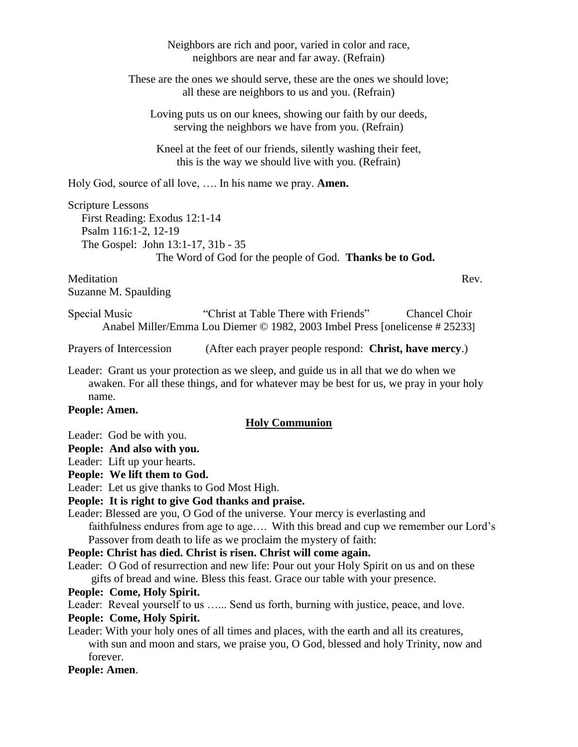| Neighbors are rich and poor, varied in color and race,<br>neighbors are near and far away. (Refrain)                                                                                                                                                                                                                                                                                                                                                                                                                                                                                                                                                                                                                                                                                                                                                                                                                                                                                                                                                                                               |  |
|----------------------------------------------------------------------------------------------------------------------------------------------------------------------------------------------------------------------------------------------------------------------------------------------------------------------------------------------------------------------------------------------------------------------------------------------------------------------------------------------------------------------------------------------------------------------------------------------------------------------------------------------------------------------------------------------------------------------------------------------------------------------------------------------------------------------------------------------------------------------------------------------------------------------------------------------------------------------------------------------------------------------------------------------------------------------------------------------------|--|
| These are the ones we should serve, these are the ones we should love;<br>all these are neighbors to us and you. (Refrain)                                                                                                                                                                                                                                                                                                                                                                                                                                                                                                                                                                                                                                                                                                                                                                                                                                                                                                                                                                         |  |
| Loving puts us on our knees, showing our faith by our deeds,<br>serving the neighbors we have from you. (Refrain)                                                                                                                                                                                                                                                                                                                                                                                                                                                                                                                                                                                                                                                                                                                                                                                                                                                                                                                                                                                  |  |
| Kneel at the feet of our friends, silently washing their feet,<br>this is the way we should live with you. (Refrain)                                                                                                                                                                                                                                                                                                                                                                                                                                                                                                                                                                                                                                                                                                                                                                                                                                                                                                                                                                               |  |
| Holy God, source of all love,  In his name we pray. <b>Amen.</b>                                                                                                                                                                                                                                                                                                                                                                                                                                                                                                                                                                                                                                                                                                                                                                                                                                                                                                                                                                                                                                   |  |
| Scripture Lessons<br>First Reading: Exodus 12:1-14<br>Psalm 116:1-2, 12-19<br>The Gospel: John 13:1-17, 31b - 35<br>The Word of God for the people of God. Thanks be to God.                                                                                                                                                                                                                                                                                                                                                                                                                                                                                                                                                                                                                                                                                                                                                                                                                                                                                                                       |  |
| Meditation<br>Rev.<br>Suzanne M. Spaulding                                                                                                                                                                                                                                                                                                                                                                                                                                                                                                                                                                                                                                                                                                                                                                                                                                                                                                                                                                                                                                                         |  |
| "Christ at Table There with Friends"<br>Special Music<br><b>Chancel Choir</b><br>Anabel Miller/Emma Lou Diemer © 1982, 2003 Imbel Press [onelicense # 25233]                                                                                                                                                                                                                                                                                                                                                                                                                                                                                                                                                                                                                                                                                                                                                                                                                                                                                                                                       |  |
| (After each prayer people respond: Christ, have mercy.)<br>Prayers of Intercession                                                                                                                                                                                                                                                                                                                                                                                                                                                                                                                                                                                                                                                                                                                                                                                                                                                                                                                                                                                                                 |  |
| Leader: Grant us your protection as we sleep, and guide us in all that we do when we<br>awaken. For all these things, and for whatever may be best for us, we pray in your holy<br>name.                                                                                                                                                                                                                                                                                                                                                                                                                                                                                                                                                                                                                                                                                                                                                                                                                                                                                                           |  |
| People: Amen.<br><b>Holy Communion</b>                                                                                                                                                                                                                                                                                                                                                                                                                                                                                                                                                                                                                                                                                                                                                                                                                                                                                                                                                                                                                                                             |  |
| Leader: God be with you.<br>People: And also with you.<br>Leader: Lift up your hearts.<br>People: We lift them to God.<br>Leader: Let us give thanks to God Most High.<br>People: It is right to give God thanks and praise.<br>Leader: Blessed are you, O God of the universe. Your mercy is everlasting and<br>faithfulness endures from age to age With this bread and cup we remember our Lord's<br>Passover from death to life as we proclaim the mystery of faith:<br>People: Christ has died. Christ is risen. Christ will come again.<br>Leader: O God of resurrection and new life: Pour out your Holy Spirit on us and on these<br>gifts of bread and wine. Bless this feast. Grace our table with your presence.<br>People: Come, Holy Spirit.<br>Leader: Reveal yourself to us  Send us forth, burning with justice, peace, and love.<br>People: Come, Holy Spirit.<br>Leader: With your holy ones of all times and places, with the earth and all its creatures,<br>with sun and moon and stars, we praise you, O God, blessed and holy Trinity, now and<br>forever.<br>People: Amen. |  |